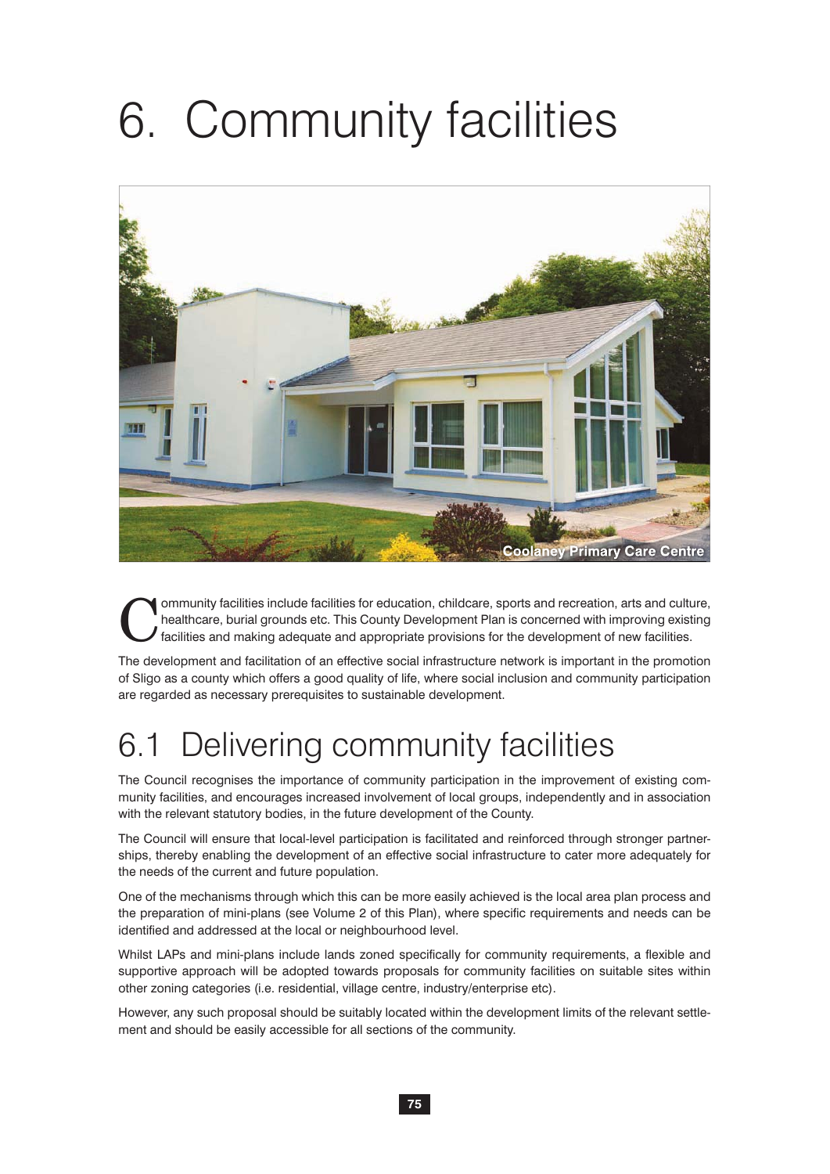# 6. Community facilities



Community facilities include facilities for education, childcare, sports and recreation, arts and culture, healthcare, burial grounds etc. This County Development Plan is concerned with improving existing facilities and ma healthcare, burial grounds etc. This County Development Plan is concerned with improving existing facilities and making adequate and appropriate provisions for the development of new facilities.

The development and facilitation of an effective social infrastructure network is important in the promotion of Sligo as a county which offers a good quality of life, where social inclusion and community participation are regarded as necessary prerequisites to sustainable development.

### 6.1 Delivering community facilities

The Council recognises the importance of community participation in the improvement of existing community facilities, and encourages increased involvement of local groups, independently and in association with the relevant statutory bodies, in the future development of the County.

The Council will ensure that local-level participation is facilitated and reinforced through stronger partnerships, thereby enabling the development of an effective social infrastructure to cater more adequately for the needs of the current and future population.

One of the mechanisms through which this can be more easily achieved is the local area plan process and the preparation of mini-plans (see Volume 2 of this Plan), where specific requirements and needs can be identified and addressed at the local or neighbourhood level.

Whilst LAPs and mini-plans include lands zoned specifically for community requirements, a flexible and supportive approach will be adopted towards proposals for community facilities on suitable sites within other zoning categories (i.e. residential, village centre, industry/enterprise etc).

However, any such proposal should be suitably located within the development limits of the relevant settlement and should be easily accessible for all sections of the community.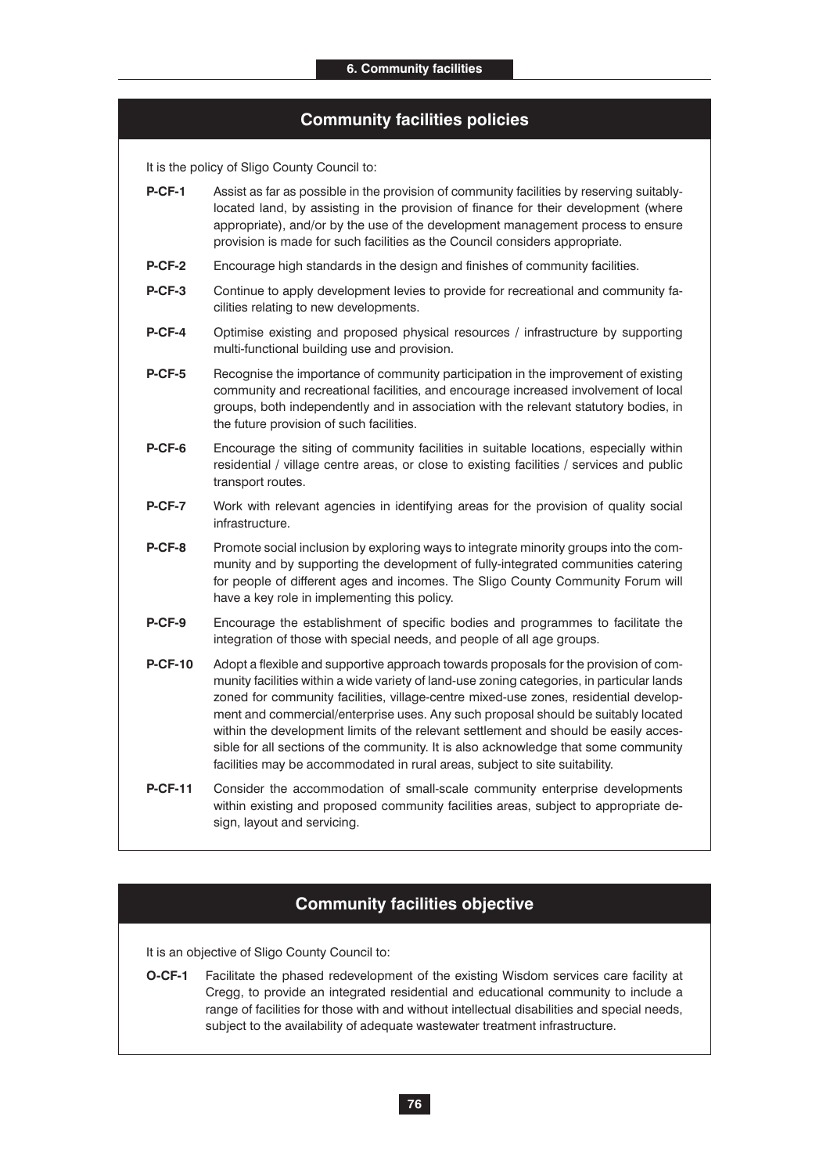#### **Community facilities policies**

It is the policy of Sligo County Council to:

- **P-CF-1** Assist as far as possible in the provision of community facilities by reserving suitablylocated land, by assisting in the provision of finance for their development (where appropriate), and/or by the use of the development management process to ensure provision is made for such facilities as the Council considers appropriate.
- **P-CF-2** Encourage high standards in the design and finishes of community facilities.
- **P-CF-3** Continue to apply development levies to provide for recreational and community facilities relating to new developments.
- **P-CF-4** Optimise existing and proposed physical resources / infrastructure by supporting multi-functional building use and provision.
- **P-CF-5** Recognise the importance of community participation in the improvement of existing community and recreational facilities, and encourage increased involvement of local groups, both independently and in association with the relevant statutory bodies, in the future provision of such facilities.
- **P-CF-6** Encourage the siting of community facilities in suitable locations, especially within residential / village centre areas, or close to existing facilities / services and public transport routes.
- **P-CF-7** Work with relevant agencies in identifying areas for the provision of quality social infrastructure.
- **P-CF-8** Promote social inclusion by exploring ways to integrate minority groups into the community and by supporting the development of fully-integrated communities catering for people of different ages and incomes. The Sligo County Community Forum will have a key role in implementing this policy.
- **P-CF-9** Encourage the establishment of specific bodies and programmes to facilitate the integration of those with special needs, and people of all age groups.
- **P-CF-10** Adopt a flexible and supportive approach towards proposals for the provision of community facilities within a wide variety of land-use zoning categories, in particular lands zoned for community facilities, village-centre mixed-use zones, residential development and commercial/enterprise uses. Any such proposal should be suitably located within the development limits of the relevant settlement and should be easily accessible for all sections of the community. It is also acknowledge that some community facilities may be accommodated in rural areas, subject to site suitability.
- **P-CF-11** Consider the accommodation of small-scale community enterprise developments within existing and proposed community facilities areas, subject to appropriate design, layout and servicing.

#### **Community facilities objective**

It is an objective of Sligo County Council to:

**O-CF-1** Facilitate the phased redevelopment of the existing Wisdom services care facility at Cregg, to provide an integrated residential and educational community to include a range of facilities for those with and without intellectual disabilities and special needs, subject to the availability of adequate wastewater treatment infrastructure.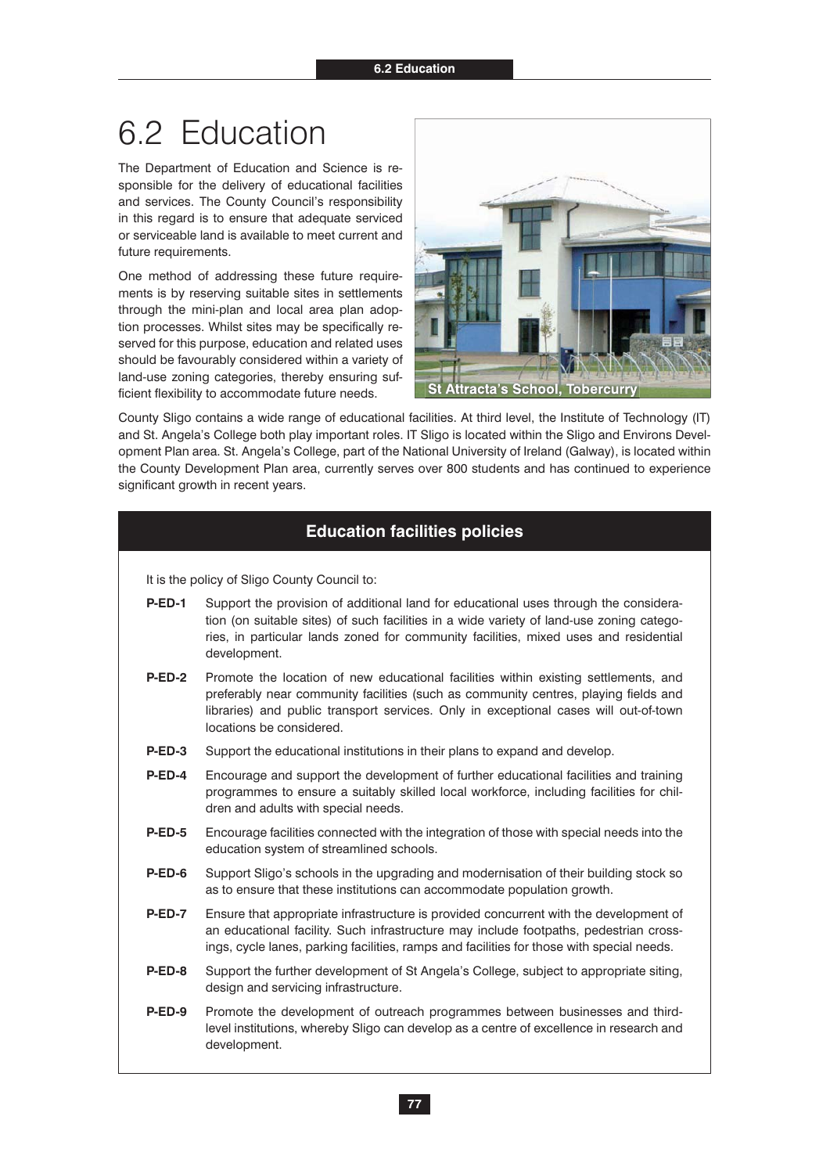### 6.2 Education

The Department of Education and Science is responsible for the delivery of educational facilities and services. The County Council's responsibility in this regard is to ensure that adequate serviced or serviceable land is available to meet current and future requirements.

One method of addressing these future requirements is by reserving suitable sites in settlements through the mini-plan and local area plan adoption processes. Whilst sites may be specifically reserved for this purpose, education and related uses should be favourably considered within a variety of land-use zoning categories, thereby ensuring sufficient flexibility to accommodate future needs.



County Sligo contains a wide range of educational facilities. At third level, the Institute of Technology (IT) and St. Angela's College both play important roles. IT Sligo is located within the Sligo and Environs Development Plan area. St. Angela's College, part of the National University of Ireland (Galway), is located within the County Development Plan area, currently serves over 800 students and has continued to experience significant growth in recent years.

#### **Education facilities policies**

- **P-ED-1** Support the provision of additional land for educational uses through the consideration (on suitable sites) of such facilities in a wide variety of land-use zoning categories, in particular lands zoned for community facilities, mixed uses and residential development.
- **P-ED-2** Promote the location of new educational facilities within existing settlements, and preferably near community facilities (such as community centres, playing fields and libraries) and public transport services. Only in exceptional cases will out-of-town locations be considered.
- **P-ED-3** Support the educational institutions in their plans to expand and develop.
- **P-ED-4** Encourage and support the development of further educational facilities and training programmes to ensure a suitably skilled local workforce, including facilities for children and adults with special needs.
- **P-ED-5** Encourage facilities connected with the integration of those with special needs into the education system of streamlined schools.
- **P-ED-6** Support Sligo's schools in the upgrading and modernisation of their building stock so as to ensure that these institutions can accommodate population growth.
- **P-ED-7** Ensure that appropriate infrastructure is provided concurrent with the development of an educational facility. Such infrastructure may include footpaths, pedestrian crossings, cycle lanes, parking facilities, ramps and facilities for those with special needs.
- **P-ED-8** Support the further development of St Angela's College, subject to appropriate siting, design and servicing infrastructure.
- **P-ED-9** Promote the development of outreach programmes between businesses and thirdlevel institutions, whereby Sligo can develop as a centre of excellence in research and development.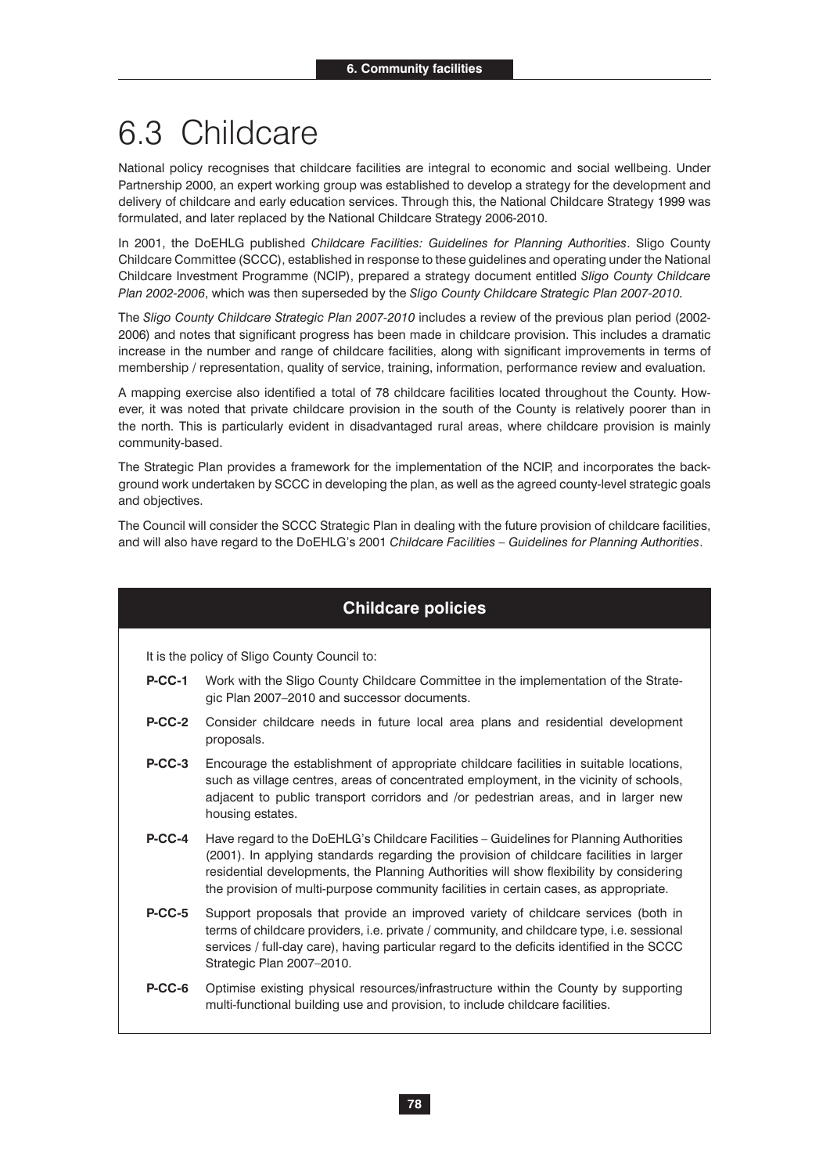# 6.3 Childcare

National policy recognises that childcare facilities are integral to economic and social wellbeing. Under Partnership 2000, an expert working group was established to develop a strategy for the development and delivery of childcare and early education services. Through this, the National Childcare Strategy 1999 was formulated, and later replaced by the National Childcare Strategy 2006-2010.

In 2001, the DoEHLG published *Childcare Facilities: Guidelines for Planning Authorities*. Sligo County Childcare Committee (SCCC), established in response to these guidelines and operating under the National Childcare Investment Programme (NCIP), prepared a strategy document entitled *Sligo County Childcare Plan 2002-2006*, which was then superseded by the *Sligo County Childcare Strategic Plan 2007-2010.* 

The *Sligo County Childcare Strategic Plan 2007-2010* includes a review of the previous plan period (2002- 2006) and notes that significant progress has been made in childcare provision. This includes a dramatic increase in the number and range of childcare facilities, along with significant improvements in terms of membership / representation, quality of service, training, information, performance review and evaluation.

A mapping exercise also identified a total of 78 childcare facilities located throughout the County. However, it was noted that private childcare provision in the south of the County is relatively poorer than in the north. This is particularly evident in disadvantaged rural areas, where childcare provision is mainly community-based.

The Strategic Plan provides a framework for the implementation of the NCIP, and incorporates the background work undertaken by SCCC in developing the plan, as well as the agreed county-level strategic goals and objectives.

The Council will consider the SCCC Strategic Plan in dealing with the future provision of childcare facilities, and will also have regard to the DoEHLG's 2001 *Childcare Facilities – Guidelines for Planning Authorities*.

### **Childcare policies**

- **P-CC-1** Work with the Sligo County Childcare Committee in the implementation of the Strategic Plan 2007–2010 and successor documents.
- **P-CC-2** Consider childcare needs in future local area plans and residential development proposals.
- **P-CC-3** Encourage the establishment of appropriate childcare facilities in suitable locations, such as village centres, areas of concentrated employment, in the vicinity of schools, adjacent to public transport corridors and /or pedestrian areas, and in larger new housing estates.
- **P-CC-4** Have regard to the DoEHLG's Childcare Facilities Guidelines for Planning Authorities (2001). In applying standards regarding the provision of childcare facilities in larger residential developments, the Planning Authorities will show flexibility by considering the provision of multi-purpose community facilities in certain cases, as appropriate.
- **P-CC-5** Support proposals that provide an improved variety of childcare services (both in terms of childcare providers, i.e. private / community, and childcare type, i.e. sessional services / full-day care), having particular regard to the deficits identified in the SCCC Strategic Plan 2007–2010.
- **P-CC-6** Optimise existing physical resources/infrastructure within the County by supporting multi-functional building use and provision, to include childcare facilities.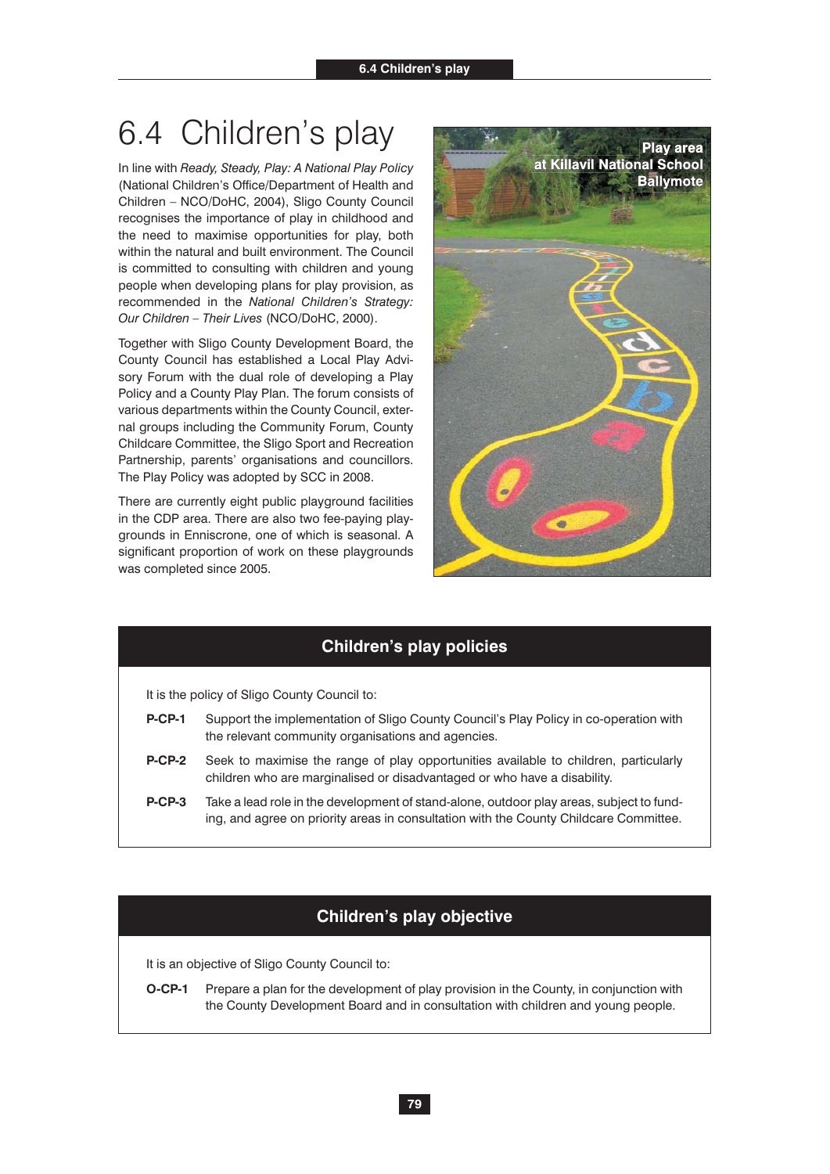# 6.4 Children's play

In line with *Ready, Steady, Play: A National Play Policy*  (National Children's Office/Department of Health and Children – NCO/DoHC, 2004), Sligo County Council recognises the importance of play in childhood and the need to maximise opportunities for play, both within the natural and built environment. The Council is committed to consulting with children and young people when developing plans for play provision, as recommended in the *National Children's Strategy: Our Children – Their Lives* (NCO/DoHC, 2000).

Together with Sligo County Development Board, the County Council has established a Local Play Advisory Forum with the dual role of developing a Play Policy and a County Play Plan. The forum consists of various departments within the County Council, external groups including the Community Forum, County Childcare Committee, the Sligo Sport and Recreation Partnership, parents' organisations and councillors. The Play Policy was adopted by SCC in 2008.

There are currently eight public playground facilities in the CDP area. There are also two fee-paying playgrounds in Enniscrone, one of which is seasonal. A significant proportion of work on these playgrounds was completed since 2005.



### **Children's play policies**

It is the policy of Sligo County Council to:

- **P-CP-1** Support the implementation of Sligo County Council's Play Policy in co-operation with the relevant community organisations and agencies.
- **P-CP-2** Seek to maximise the range of play opportunities available to children, particularly children who are marginalised or disadvantaged or who have a disability.
- **P-CP-3** Take a lead role in the development of stand-alone, outdoor play areas, subject to funding, and agree on priority areas in consultation with the County Childcare Committee.

#### **Children's play objective**

It is an objective of Sligo County Council to:

**O-CP-1** Prepare a plan for the development of play provision in the County, in conjunction with the County Development Board and in consultation with children and young people.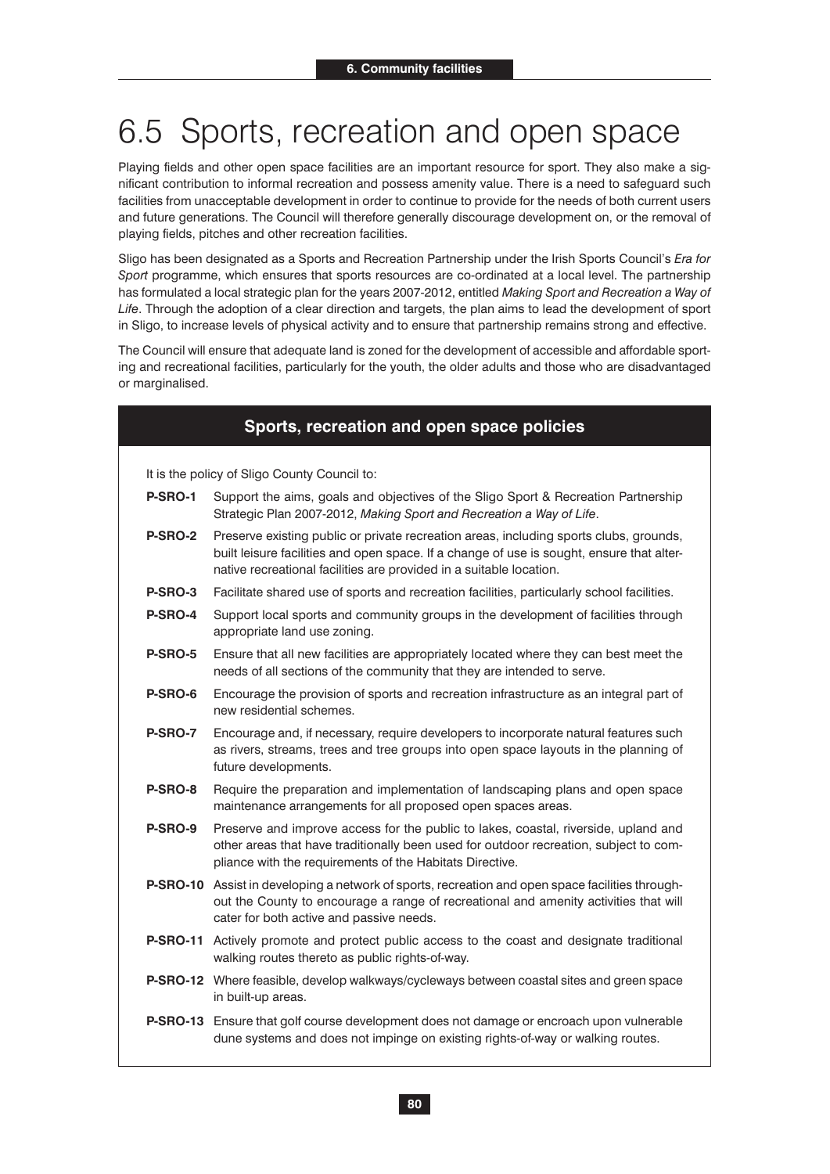# 6.5 Sports, recreation and open space

Playing fields and other open space facilities are an important resource for sport. They also make a significant contribution to informal recreation and possess amenity value. There is a need to safeguard such facilities from unacceptable development in order to continue to provide for the needs of both current users and future generations. The Council will therefore generally discourage development on, or the removal of playing fields, pitches and other recreation facilities.

Sligo has been designated as a Sports and Recreation Partnership under the Irish Sports Council's *Era for Sport* programme, which ensures that sports resources are co-ordinated at a local level. The partnership has formulated a local strategic plan for the years 2007-2012, entitled *Making Sport and Recreation a Way of Life*. Through the adoption of a clear direction and targets, the plan aims to lead the development of sport in Sligo, to increase levels of physical activity and to ensure that partnership remains strong and effective.

The Council will ensure that adequate land is zoned for the development of accessible and affordable sporting and recreational facilities, particularly for the youth, the older adults and those who are disadvantaged or marginalised.

#### **Sports, recreation and open space policies**

- **P-SRO-1** Support the aims, goals and objectives of the Sligo Sport & Recreation Partnership Strategic Plan 2007-2012, *Making Sport and Recreation a Way of Life*.
- **P-SRO-2** Preserve existing public or private recreation areas, including sports clubs, grounds, built leisure facilities and open space. If a change of use is sought, ensure that alternative recreational facilities are provided in a suitable location.
- **P-SRO-3** Facilitate shared use of sports and recreation facilities, particularly school facilities.
- **P-SRO-4** Support local sports and community groups in the development of facilities through appropriate land use zoning.
- **P-SRO-5** Ensure that all new facilities are appropriately located where they can best meet the needs of all sections of the community that they are intended to serve.
- **P-SRO-6** Encourage the provision of sports and recreation infrastructure as an integral part of new residential schemes.
- **P-SRO-7** Encourage and, if necessary, require developers to incorporate natural features such as rivers, streams, trees and tree groups into open space layouts in the planning of future developments.
- **P-SRO-8** Require the preparation and implementation of landscaping plans and open space maintenance arrangements for all proposed open spaces areas.
- **P-SRO-9** Preserve and improve access for the public to lakes, coastal, riverside, upland and other areas that have traditionally been used for outdoor recreation, subject to compliance with the requirements of the Habitats Directive.
- **P-SRO-10** Assist in developing a network of sports, recreation and open space facilities throughout the County to encourage a range of recreational and amenity activities that will cater for both active and passive needs.
- **P-SRO-11** Actively promote and protect public access to the coast and designate traditional walking routes thereto as public rights-of-way.
- **P-SRO-12** Where feasible, develop walkways/cycleways between coastal sites and green space in built-up areas.
- **P-SRO-13** Ensure that golf course development does not damage or encroach upon vulnerable dune systems and does not impinge on existing rights-of-way or walking routes.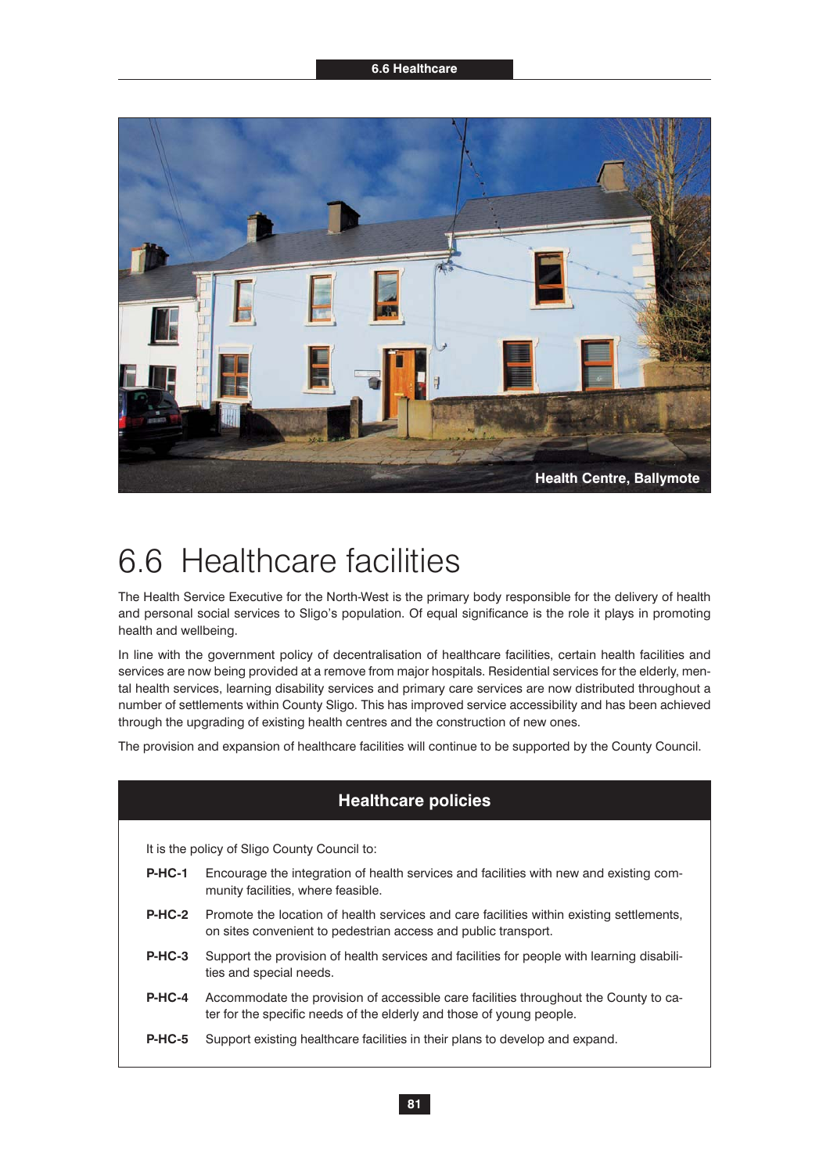

### 6.6 Healthcare facilities

The Health Service Executive for the North-West is the primary body responsible for the delivery of health and personal social services to Sligo's population. Of equal significance is the role it plays in promoting health and wellbeing.

In line with the government policy of decentralisation of healthcare facilities, certain health facilities and services are now being provided at a remove from major hospitals. Residential services for the elderly, mental health services, learning disability services and primary care services are now distributed throughout a number of settlements within County Sligo. This has improved service accessibility and has been achieved through the upgrading of existing health centres and the construction of new ones.

The provision and expansion of healthcare facilities will continue to be supported by the County Council.

### **Healthcare policies**

- **P-HC-1** Encourage the integration of health services and facilities with new and existing community facilities, where feasible.
- **P-HC-2** Promote the location of health services and care facilities within existing settlements, on sites convenient to pedestrian access and public transport.
- **P-HC-3** Support the provision of health services and facilities for people with learning disabilities and special needs.
- **P-HC-4** Accommodate the provision of accessible care facilities throughout the County to cater for the specific needs of the elderly and those of young people.
- **P-HC-5** Support existing healthcare facilities in their plans to develop and expand.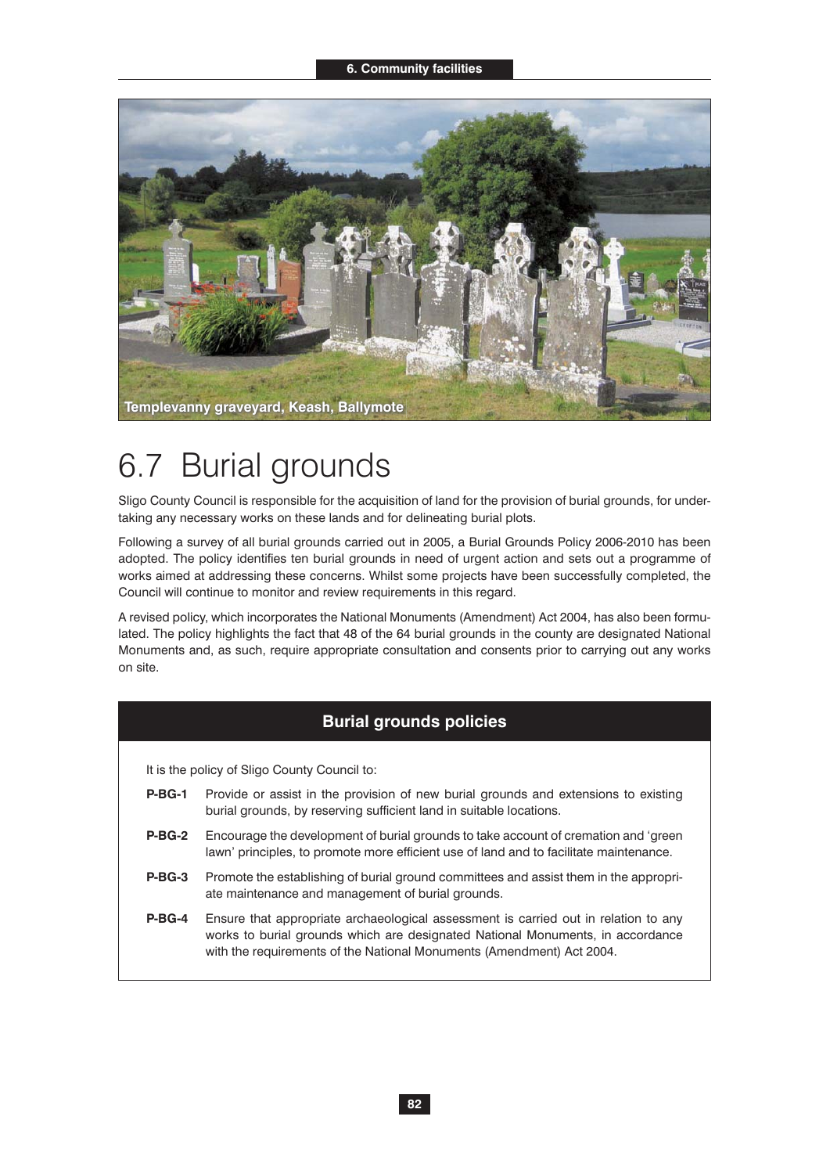

### 6.7 Burial grounds

Sligo County Council is responsible for the acquisition of land for the provision of burial grounds, for undertaking any necessary works on these lands and for delineating burial plots.

Following a survey of all burial grounds carried out in 2005, a Burial Grounds Policy 2006-2010 has been adopted. The policy identifies ten burial grounds in need of urgent action and sets out a programme of works aimed at addressing these concerns. Whilst some projects have been successfully completed, the Council will continue to monitor and review requirements in this regard.

A revised policy, which incorporates the National Monuments (Amendment) Act 2004, has also been formulated. The policy highlights the fact that 48 of the 64 burial grounds in the county are designated National Monuments and, as such, require appropriate consultation and consents prior to carrying out any works on site.

#### **Burial grounds policies**

- **P-BG-1** Provide or assist in the provision of new burial grounds and extensions to existing burial grounds, by reserving sufficient land in suitable locations.
- **P-BG-2** Encourage the development of burial grounds to take account of cremation and 'green lawn' principles, to promote more efficient use of land and to facilitate maintenance.
- **P-BG-3** Promote the establishing of burial ground committees and assist them in the appropriate maintenance and management of burial grounds.
- **P-BG-4** Ensure that appropriate archaeological assessment is carried out in relation to any works to burial grounds which are designated National Monuments, in accordance with the requirements of the National Monuments (Amendment) Act 2004.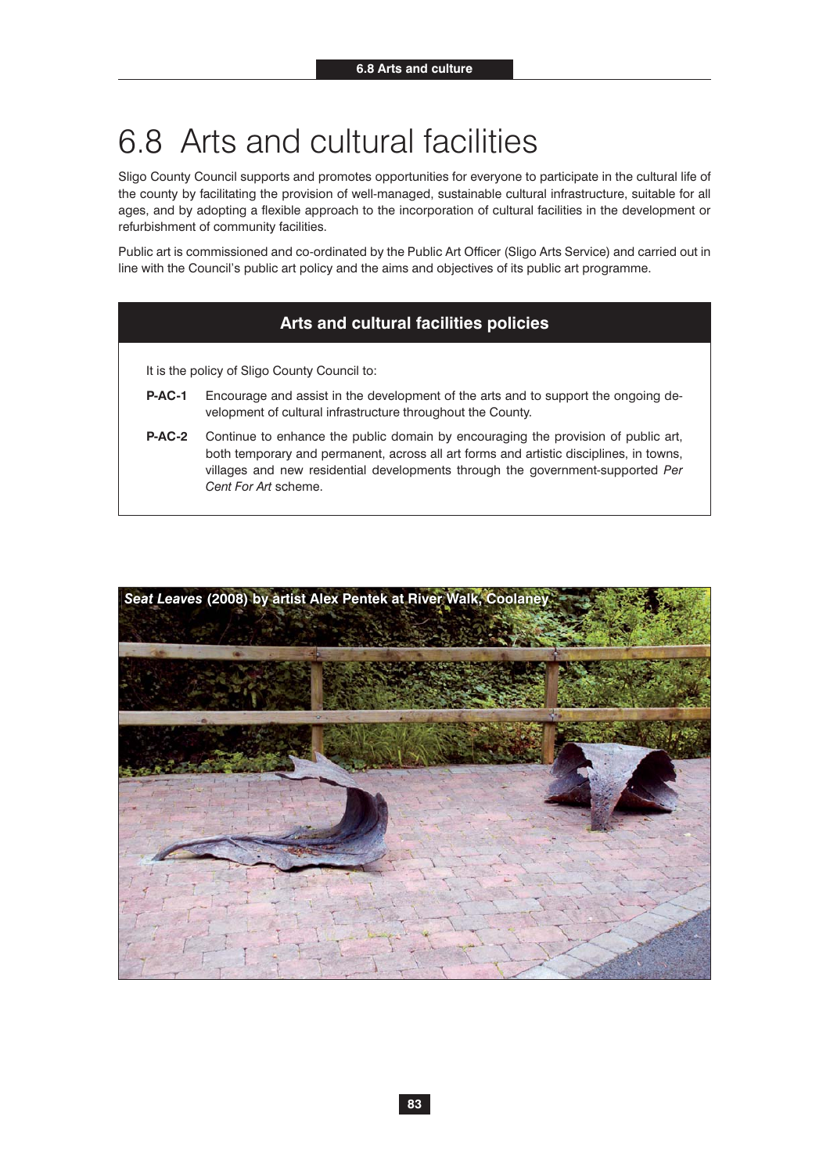### 6.8 Arts and cultural facilities

Sligo County Council supports and promotes opportunities for everyone to participate in the cultural life of the county by facilitating the provision of well-managed, sustainable cultural infrastructure, suitable for all ages, and by adopting a flexible approach to the incorporation of cultural facilities in the development or refurbishment of community facilities.

Public art is commissioned and co-ordinated by the Public Art Officer (Sligo Arts Service) and carried out in line with the Council's public art policy and the aims and objectives of its public art programme.

#### **Arts and cultural facilities policies**

- **P-AC-1** Encourage and assist in the development of the arts and to support the ongoing development of cultural infrastructure throughout the County.
- **P-AC-2** Continue to enhance the public domain by encouraging the provision of public art, both temporary and permanent, across all art forms and artistic disciplines, in towns, villages and new residential developments through the government-supported *Per Cent For Art* scheme.